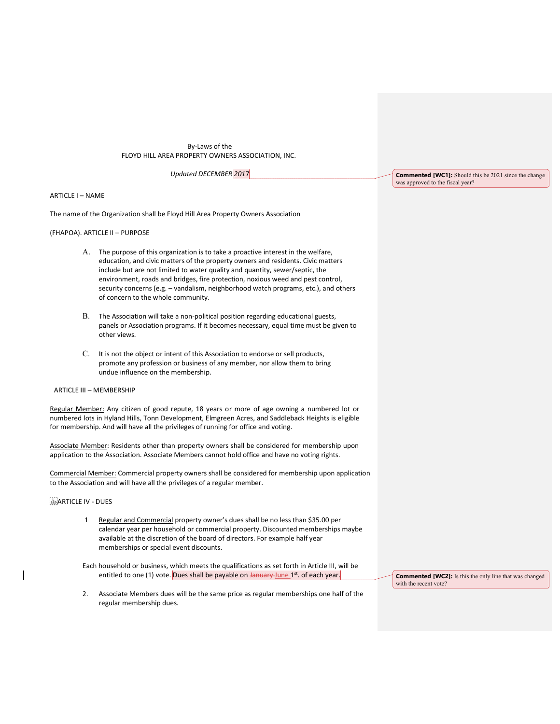By-Laws of the FLOYD HILL AREA PROPERTY OWNERS ASSOCIATION, INC.

Updated DECEMBER 2017

# ARTICLE I – NAME

The name of the Organization shall be Floyd Hill Area Property Owners Association

(FHAPOA). ARTICLE II – PURPOSE

- A. The purpose of this organization is to take a proactive interest in the welfare, education, and civic matters of the property owners and residents. Civic matters include but are not limited to water quality and quantity, sewer/septic, the environment, roads and bridges, fire protection, noxious weed and pest control, security concerns (e.g. – vandalism, neighborhood watch programs, etc.), and others of concern to the whole community.
- B. The Association will take a non-political position regarding educational guests, panels or Association programs. If it becomes necessary, equal time must be given to other views.
- C. It is not the object or intent of this Association to endorse or sell products, promote any profession or business of any member, nor allow them to bring undue influence on the membership.

#### ARTICLE III – MEMBERSHIP

Regular Member: Any citizen of good repute, 18 years or more of age owning a numbered lot or numbered lots in Hyland Hills, Tonn Development, Elmgreen Acres, and Saddleback Heights is eligible for membership. And will have all the privileges of running for office and voting.

Associate Member: Residents other than property owners shall be considered for membership upon application to the Association. Associate Members cannot hold office and have no voting rights.

Commercial Member: Commercial property owners shall be considered for membership upon application to the Association and will have all the privileges of a regular member.

# **ARTICLE IV - DUES**

- 1 Regular and Commercial property owner's dues shall be no less than \$35.00 per calendar year per household or commercial property. Discounted memberships maybe available at the discretion of the board of directors. For example half year memberships or special event discounts.
- Each household or business, which meets the qualifications as set forth in Article III, will be entitled to one (1) vote. Dues shall be payable on January June 1st. of each year.
- 2. Associate Members dues will be the same price as regular memberships one half of the regular membership dues.

Commented [WC1]: Should this be 2021 since the change was approved to the fiscal year?

Commented [WC2]: Is this the only line that was changed with the recent vote?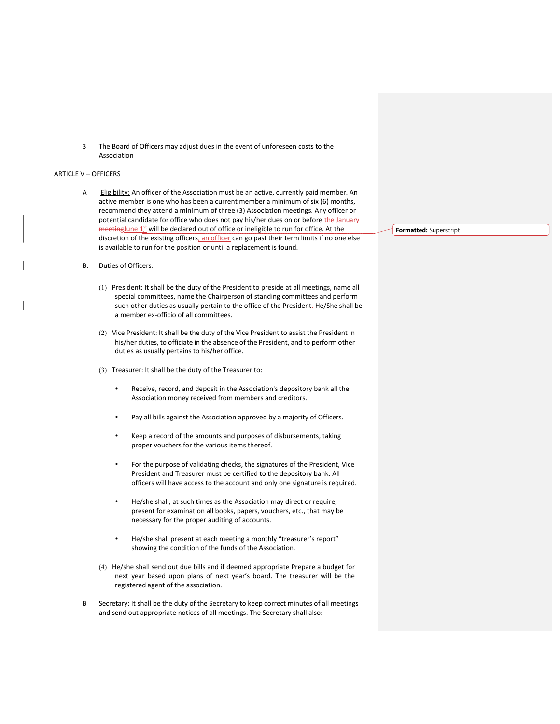3 The Board of Officers may adjust dues in the event of unforeseen costs to the Association

## ARTICLE V – OFFICERS

- A Eligibility: An officer of the Association must be an active, currently paid member. An active member is one who has been a current member a minimum of six (6) months, recommend they attend a minimum of three (3) Association meetings. Any officer or potential candidate for office who does not pay his/her dues on or before the January  $meetingJune 1<sup>st</sup>$  will be declared out of office or ineligible to run for office. At the discretion of the existing officers, an officer can go past their term limits if no one else is available to run for the position or until a replacement is found.
- B. Duties of Officers:
	- (1) President: It shall be the duty of the President to preside at all meetings, name all special committees, name the Chairperson of standing committees and perform such other duties as usually pertain to the office of the President. He/She shall be a member ex-officio of all committees.
	- (2) Vice President: It shall be the duty of the Vice President to assist the President in his/her duties, to officiate in the absence of the President, and to perform other duties as usually pertains to his/her office.
	- (3) Treasurer: It shall be the duty of the Treasurer to:
		- Receive, record, and deposit in the Association's depository bank all the Association money received from members and creditors.
		- Pay all bills against the Association approved by a majority of Officers.
		- Keep a record of the amounts and purposes of disbursements, taking proper vouchers for the various items thereof.
		- For the purpose of validating checks, the signatures of the President, Vice President and Treasurer must be certified to the depository bank. All officers will have access to the account and only one signature is required.
		- He/she shall, at such times as the Association may direct or require, present for examination all books, papers, vouchers, etc., that may be necessary for the proper auditing of accounts.
		- He/she shall present at each meeting a monthly "treasurer's report" showing the condition of the funds of the Association.
	- (4) He/she shall send out due bills and if deemed appropriate Prepare a budget for next year based upon plans of next year's board. The treasurer will be the registered agent of the association.
- B Secretary: It shall be the duty of the Secretary to keep correct minutes of all meetings and send out appropriate notices of all meetings. The Secretary shall also:

Formatted: Superscript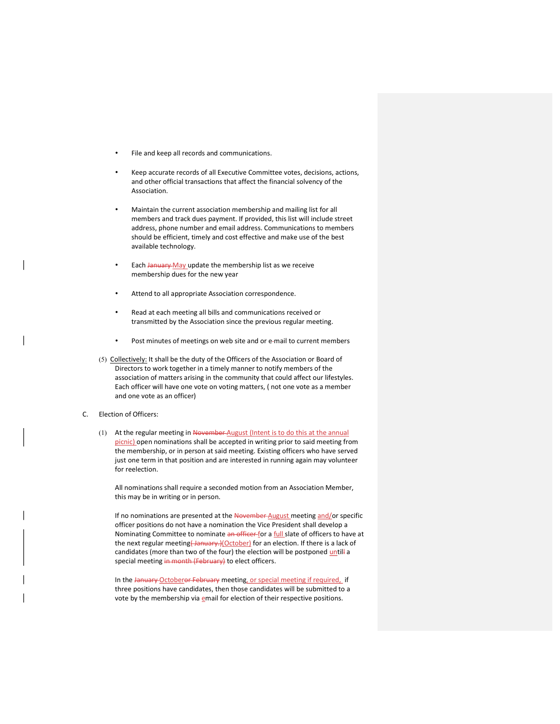- File and keep all records and communications.
- Keep accurate records of all Executive Committee votes, decisions, actions, and other official transactions that affect the financial solvency of the Association.
- Maintain the current association membership and mailing list for all members and track dues payment. If provided, this list will include street address, phone number and email address. Communications to members should be efficient, timely and cost effective and make use of the best available technology.
- Each January May update the membership list as we receive membership dues for the new year
- Attend to all appropriate Association correspondence.
- Read at each meeting all bills and communications received or transmitted by the Association since the previous regular meeting.
- Post minutes of meetings on web site and or e-mail to current members
- (5) Collectively: It shall be the duty of the Officers of the Association or Board of Directors to work together in a timely manner to notify members of the association of matters arising in the community that could affect our lifestyles. Each officer will have one vote on voting matters, ( not one vote as a member and one vote as an officer)
- C. Election of Officers:
	- (1) At the regular meeting in November-August (Intent is to do this at the annual picnic) open nominations shall be accepted in writing prior to said meeting from the membership, or in person at said meeting. Existing officers who have served just one term in that position and are interested in running again may volunteer for reelection.

All nominations shall require a seconded motion from an Association Member, this may be in writing or in person.

If no nominations are presented at the November August meeting and/or specific officer positions do not have a nomination the Vice President shall develop a Nominating Committee to nominate an officer for a full slate of officers to have at the next regular meeting(January.)(October) for an election. If there is a lack of candidates (more than two of the four) the election will be postponed *untill a* special meeting in month (February) to elect officers.

In the January Octoberor February meeting, or special meeting if required, if three positions have candidates, then those candidates will be submitted to a vote by the membership via email for election of their respective positions.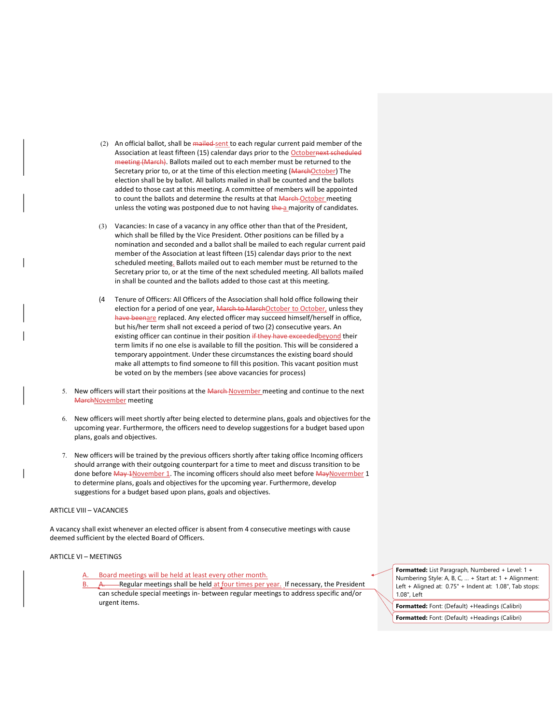- (2) An official ballot, shall be mailed-sent to each regular current paid member of the Association at least fifteen (15) calendar days prior to the Octobernext scheduled meeting (March). Ballots mailed out to each member must be returned to the Secretary prior to, or at the time of this election meeting (MarchOctober) The election shall be by ballot. All ballots mailed in shall be counted and the ballots added to those cast at this meeting. A committee of members will be appointed to count the ballots and determine the results at that March October meeting unless the voting was postponed due to not having the a majority of candidates.
- (3) Vacancies: In case of a vacancy in any office other than that of the President, which shall be filled by the Vice President. Other positions can be filled by a nomination and seconded and a ballot shall be mailed to each regular current paid member of the Association at least fifteen (15) calendar days prior to the next scheduled meeting. Ballots mailed out to each member must be returned to the Secretary prior to, or at the time of the next scheduled meeting. All ballots mailed in shall be counted and the ballots added to those cast at this meeting.
- (4 Tenure of Officers: All Officers of the Association shall hold office following their election for a period of one year, March to MarchOctober to October, unless they have beenare replaced. Any elected officer may succeed himself/herself in office, but his/her term shall not exceed a period of two (2) consecutive years. An existing officer can continue in their position if they have exceededbeyond their term limits if no one else is available to fill the position. This will be considered a temporary appointment. Under these circumstances the existing board should make all attempts to find someone to fill this position. This vacant position must be voted on by the members (see above vacancies for process)
- 5. New officers will start their positions at the March November meeting and continue to the next MarchNovember meeting
- 6. New officers will meet shortly after being elected to determine plans, goals and objectives for the upcoming year. Furthermore, the officers need to develop suggestions for a budget based upon plans, goals and objectives.
- 7. New officers will be trained by the previous officers shortly after taking office Incoming officers should arrange with their outgoing counterpart for a time to meet and discuss transition to be done before May 1November 1. The incoming officers should also meet before MayNovermber 1 to determine plans, goals and objectives for the upcoming year. Furthermore, develop suggestions for a budget based upon plans, goals and objectives.

#### ARTICLE VIII – VACANCIES

A vacancy shall exist whenever an elected officer is absent from 4 consecutive meetings with cause deemed sufficient by the elected Board of Officers.

#### ARTICLE VI – MEETINGS

- Board meetings will be held at least every other month.
	- Regular meetings shall be held at four times per year. If necessary, the President can schedule special meetings in- between regular meetings to address specific and/or urgent items.

Formatted: List Paragraph, Numbered + Level: 1 + Numbering Style: A, B, C, … + Start at: 1 + Alignment: Left + Aligned at: 0.75" + Indent at: 1.08", Tab stops: 1.08", Left

Formatted: Font: (Default) +Headings (Calibri)

Formatted: Font: (Default) +Headings (Calibri)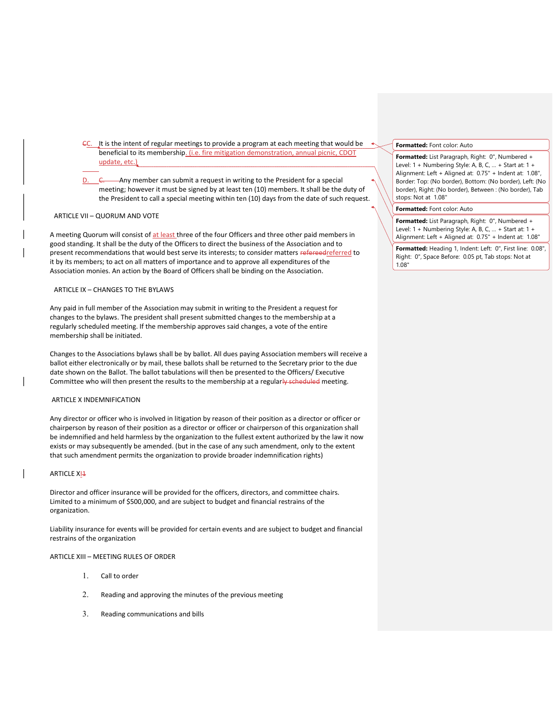- It is the intent of regular meetings to provide a program at each meeting that would be beneficial to its membership. (i.e. fire mitigation demonstration, annual picnic, CDOT update, etc.
- C. Any member can submit a request in writing to the President for a special meeting; however it must be signed by at least ten (10) members. It shall be the duty of the President to call a special meeting within ten (10) days from the date of such request.

# ARTICLE VII – QUORUM AND VOTE

A meeting Quorum will consist of at least three of the four Officers and three other paid members in good standing. It shall be the duty of the Officers to direct the business of the Association and to present recommendations that would best serve its interests; to consider matters refereedreferred to it by its members; to act on all matters of importance and to approve all expenditures of the Association monies. An action by the Board of Officers shall be binding on the Association.

## ARTICLE IX – CHANGES TO THE BYLAWS

Any paid in full member of the Association may submit in writing to the President a request for changes to the bylaws. The president shall present submitted changes to the membership at a regularly scheduled meeting. If the membership approves said changes, a vote of the entire membership shall be initiated.

Changes to the Associations bylaws shall be by ballot. All dues paying Association members will receive a ballot either electronically or by mail, these ballots shall be returned to the Secretary prior to the due date shown on the Ballot. The ballot tabulations will then be presented to the Officers/ Executive Committee who will then present the results to the membership at a regularly scheduled meeting.

#### ARTICLE X INDEMNIFICATION

Any director or officer who is involved in litigation by reason of their position as a director or officer or chairperson by reason of their position as a director or officer or chairperson of this organization shall be indemnified and held harmless by the organization to the fullest extent authorized by the law it now exists or may subsequently be amended. (but in the case of any such amendment, only to the extent that such amendment permits the organization to provide broader indemnification rights)

#### **ARTICLE XI4**

Director and officer insurance will be provided for the officers, directors, and committee chairs. Limited to a minimum of \$500,000, and are subject to budget and financial restrains of the organization.

Liability insurance for events will be provided for certain events and are subject to budget and financial restrains of the organization

## ARTICLE XIII – MEETING RULES OF ORDER

- 1. Call to order
- 2. Reading and approving the minutes of the previous meeting
- 3. Reading communications and bills

## Formatted: Font color: Auto

Formatted: List Paragraph, Right: 0", Numbered + Level: 1 + Numbering Style: A, B, C, … + Start at: 1 + Alignment: Left + Aligned at: 0.75" + Indent at: 1.08", Border: Top: (No border), Bottom: (No border), Left: (No border), Right: (No border), Between : (No border), Tab stops: Not at 1.08"

### Formatted: Font color: Auto

Formatted: List Paragraph, Right: 0", Numbered + Level: 1 + Numbering Style: A, B, C, … + Start at: 1 + Alignment: Left + Aligned at: 0.75" + Indent at: 1.08"

Formatted: Heading 1, Indent: Left: 0", First line: 0.08", Right: 0", Space Before: 0.05 pt, Tab stops: Not at 1.08"